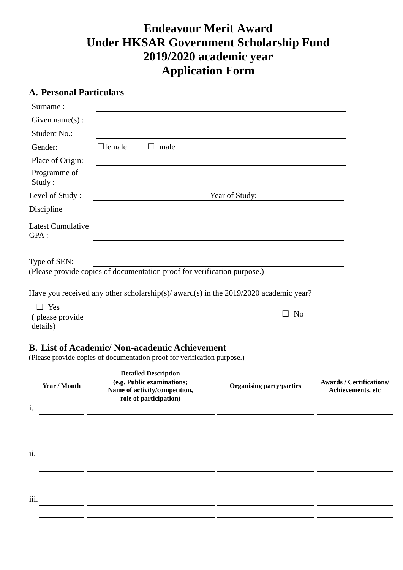# **Endeavour Merit Award Under HKSAR Government Scholarship Fund 2019/2020 academic year Application Form**

# **A. Personal Particulars**

| Surname:                         |                                                                                                                                 |                                 |                                                      |  |
|----------------------------------|---------------------------------------------------------------------------------------------------------------------------------|---------------------------------|------------------------------------------------------|--|
| Given name $(s)$ :               |                                                                                                                                 |                                 |                                                      |  |
| Student No.:                     |                                                                                                                                 |                                 |                                                      |  |
| Gender:                          | $\Box$ female<br>$\Box$<br>male                                                                                                 |                                 |                                                      |  |
| Place of Origin:                 |                                                                                                                                 |                                 |                                                      |  |
| Programme of<br>Study:           |                                                                                                                                 |                                 |                                                      |  |
| Level of Study:                  | Year of Study:                                                                                                                  |                                 |                                                      |  |
| Discipline                       |                                                                                                                                 |                                 |                                                      |  |
| <b>Latest Cumulative</b><br>GPA: |                                                                                                                                 |                                 |                                                      |  |
| Type of SEN:                     | (Please provide copies of documentation proof for verification purpose.)                                                        |                                 |                                                      |  |
|                                  | Have you received any other scholarship(s)/ $award(s)$ in the 2019/2020 academic year?                                          |                                 |                                                      |  |
| $\Box$ Yes                       |                                                                                                                                 |                                 |                                                      |  |
| (please provide<br>details)      |                                                                                                                                 | N <sub>o</sub>                  |                                                      |  |
|                                  | <b>B.</b> List of Academic/Non-academic Achievement<br>(Please provide copies of documentation proof for verification purpose.) |                                 |                                                      |  |
| Year / Month<br>1.               | <b>Detailed Description</b><br>(e.g. Public examinations;<br>Name of activity/competition,<br>role of participation)            | <b>Organising party/parties</b> | <b>Awards / Certifications/</b><br>Achievements, etc |  |
|                                  |                                                                                                                                 |                                 |                                                      |  |
|                                  |                                                                                                                                 |                                 |                                                      |  |
| ii.                              |                                                                                                                                 |                                 |                                                      |  |
|                                  |                                                                                                                                 |                                 |                                                      |  |
|                                  |                                                                                                                                 |                                 |                                                      |  |
| iii.                             |                                                                                                                                 |                                 |                                                      |  |
|                                  |                                                                                                                                 |                                 |                                                      |  |
|                                  |                                                                                                                                 |                                 |                                                      |  |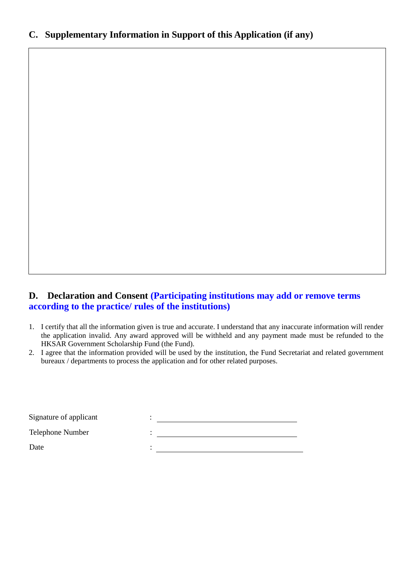### **C. Supplementary Information in Support of this Application (if any)**

#### **D. Declaration and Consent (Participating institutions may add or remove terms according to the practice/ rules of the institutions)**

- 1. I certify that all the information given is true and accurate. I understand that any inaccurate information will render the application invalid. Any award approved will be withheld and any payment made must be refunded to the HKSAR Government Scholarship Fund (the Fund).
- 2. I agree that the information provided will be used by the institution, the Fund Secretariat and related government bureaux / departments to process the application and for other related purposes.

| Signature of applicant |  |
|------------------------|--|
| Telephone Number       |  |
| Date                   |  |